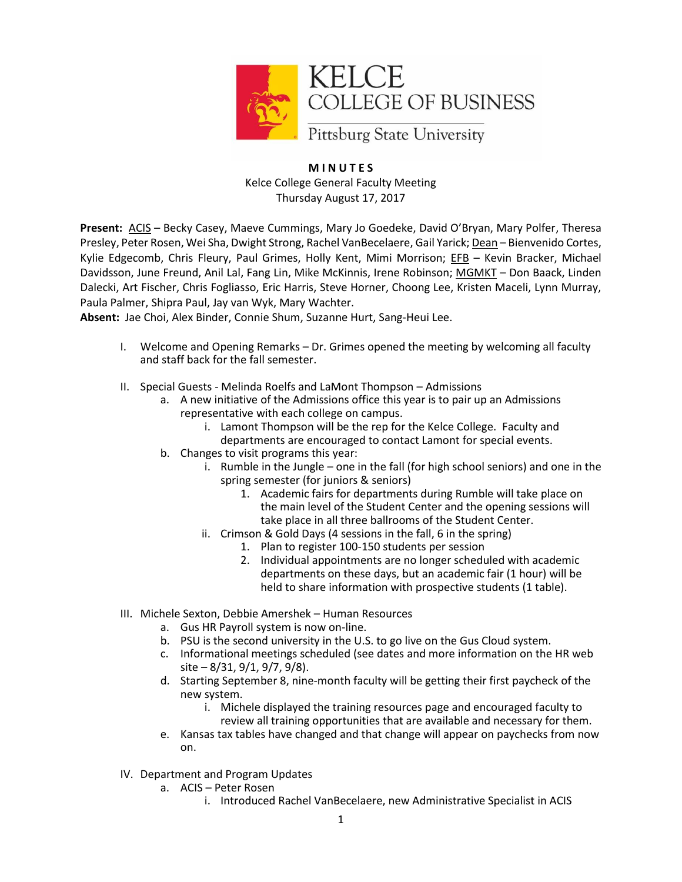

## **M I N U T E S** Kelce College General Faculty Meeting Thursday August 17, 2017

**Present:** ACIS – Becky Casey, Maeve Cummings, Mary Jo Goedeke, David O'Bryan, Mary Polfer, Theresa Presley, Peter Rosen, Wei Sha, Dwight Strong, Rachel VanBecelaere, Gail Yarick; Dean – Bienvenido Cortes, Kylie Edgecomb, Chris Fleury, Paul Grimes, Holly Kent, Mimi Morrison; EFB – Kevin Bracker, Michael Davidsson, June Freund, Anil Lal, Fang Lin, Mike McKinnis, Irene Robinson; MGMKT – Don Baack, Linden Dalecki, Art Fischer, Chris Fogliasso, Eric Harris, Steve Horner, Choong Lee, Kristen Maceli, Lynn Murray, Paula Palmer, Shipra Paul, Jay van Wyk, Mary Wachter.

**Absent:** Jae Choi, Alex Binder, Connie Shum, Suzanne Hurt, Sang-Heui Lee.

- I. Welcome and Opening Remarks Dr. Grimes opened the meeting by welcoming all faculty and staff back for the fall semester.
- II. Special Guests Melinda Roelfs and LaMont Thompson Admissions
	- a. A new initiative of the Admissions office this year is to pair up an Admissions representative with each college on campus.
		- i. Lamont Thompson will be the rep for the Kelce College. Faculty and
		- departments are encouraged to contact Lamont for special events.
	- b. Changes to visit programs this year:
		- i. Rumble in the Jungle one in the fall (for high school seniors) and one in the spring semester (for juniors & seniors)
			- 1. Academic fairs for departments during Rumble will take place on the main level of the Student Center and the opening sessions will take place in all three ballrooms of the Student Center.
		- ii. Crimson & Gold Days (4 sessions in the fall, 6 in the spring)
			- 1. Plan to register 100-150 students per session
			- 2. Individual appointments are no longer scheduled with academic departments on these days, but an academic fair (1 hour) will be held to share information with prospective students (1 table).
- III. Michele Sexton, Debbie Amershek Human Resources
	- a. Gus HR Payroll system is now on-line.
	- b. PSU is the second university in the U.S. to go live on the Gus Cloud system.
	- c. Informational meetings scheduled (see dates and more information on the HR web site – 8/31, 9/1, 9/7, 9/8).
	- d. Starting September 8, nine-month faculty will be getting their first paycheck of the new system.
		- i. Michele displayed the training resources page and encouraged faculty to review all training opportunities that are available and necessary for them.
	- e. Kansas tax tables have changed and that change will appear on paychecks from now on.
- IV. Department and Program Updates
	- a. ACIS Peter Rosen
		- i. Introduced Rachel VanBecelaere, new Administrative Specialist in ACIS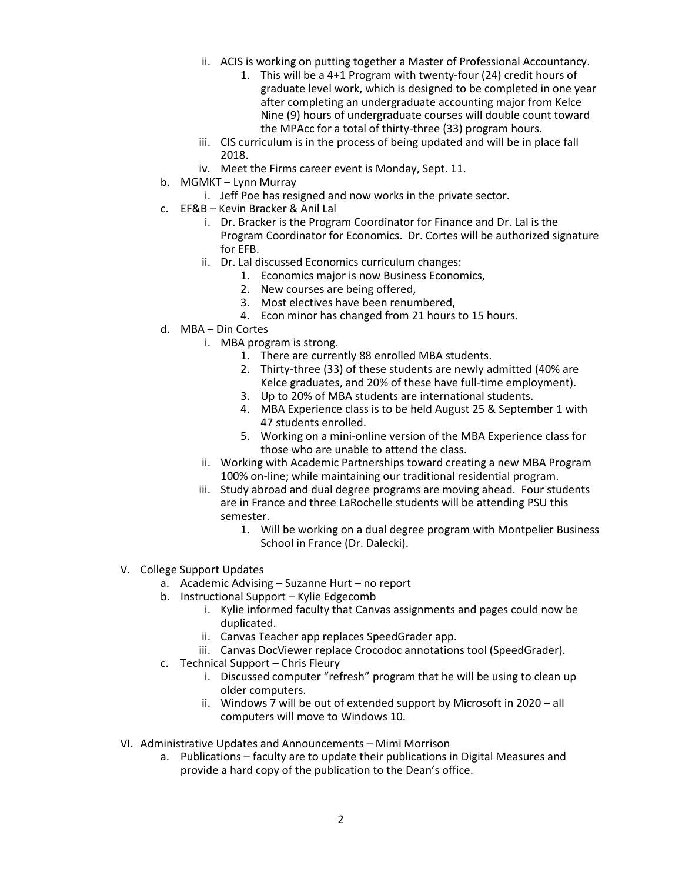- ii. ACIS is working on putting together a Master of Professional Accountancy.
	- 1. This will be a 4+1 Program with twenty-four (24) credit hours of graduate level work, which is designed to be completed in one year after completing an undergraduate accounting major from Kelce Nine (9) hours of undergraduate courses will double count toward the MPAcc for a total of thirty-three (33) program hours.
- iii. CIS curriculum is in the process of being updated and will be in place fall 2018.
- iv. Meet the Firms career event is Monday, Sept. 11.
- b. MGMKT Lynn Murray
	- i. Jeff Poe has resigned and now works in the private sector.
- c. EF&B Kevin Bracker & Anil Lal
	- i. Dr. Bracker is the Program Coordinator for Finance and Dr. Lal is the Program Coordinator for Economics. Dr. Cortes will be authorized signature for EFB.
	- ii. Dr. Lal discussed Economics curriculum changes:
		- 1. Economics major is now Business Economics,
		- 2. New courses are being offered,
		- 3. Most electives have been renumbered,
		- 4. Econ minor has changed from 21 hours to 15 hours.
- d. MBA Din Cortes
	- i. MBA program is strong.
		- 1. There are currently 88 enrolled MBA students.
		- 2. Thirty-three (33) of these students are newly admitted (40% are Kelce graduates, and 20% of these have full-time employment).
		- 3. Up to 20% of MBA students are international students.
		- 4. MBA Experience class is to be held August 25 & September 1 with 47 students enrolled.
		- 5. Working on a mini-online version of the MBA Experience class for those who are unable to attend the class.
	- ii. Working with Academic Partnerships toward creating a new MBA Program 100% on-line; while maintaining our traditional residential program.
	- iii. Study abroad and dual degree programs are moving ahead. Four students are in France and three LaRochelle students will be attending PSU this semester.
		- 1. Will be working on a dual degree program with Montpelier Business School in France (Dr. Dalecki).
- V. College Support Updates
	- a. Academic Advising Suzanne Hurt no report
	- b. Instructional Support Kylie Edgecomb
		- i. Kylie informed faculty that Canvas assignments and pages could now be duplicated.
		- ii. Canvas Teacher app replaces SpeedGrader app.
		- iii. Canvas DocViewer replace Crocodoc annotations tool (SpeedGrader).
	- c. Technical Support Chris Fleury
		- i. Discussed computer "refresh" program that he will be using to clean up older computers.
		- ii. Windows 7 will be out of extended support by Microsoft in 2020 all computers will move to Windows 10.
- VI. Administrative Updates and Announcements Mimi Morrison
	- a. Publications faculty are to update their publications in Digital Measures and provide a hard copy of the publication to the Dean's office.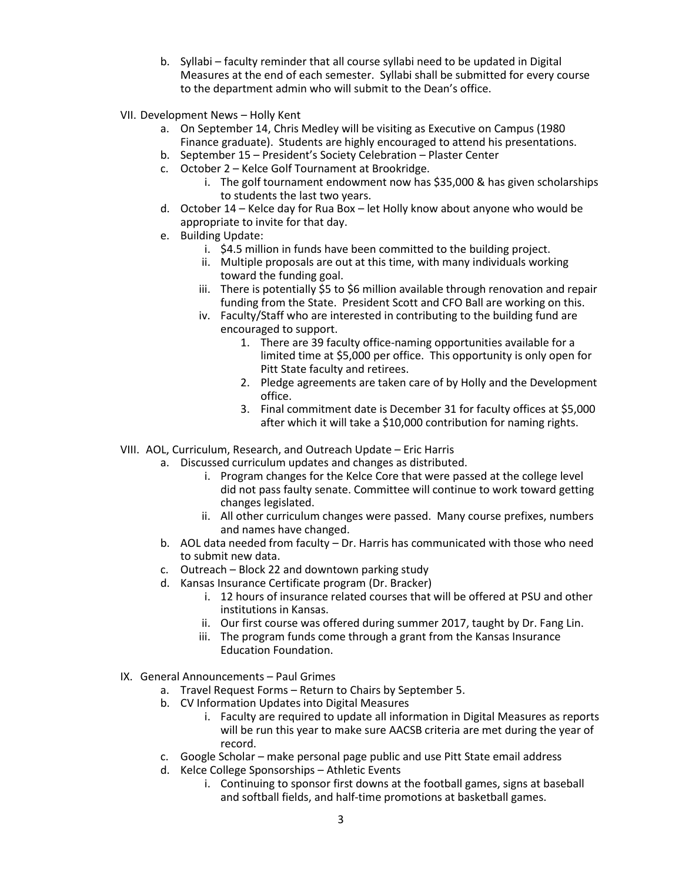- b. Syllabi faculty reminder that all course syllabi need to be updated in Digital Measures at the end of each semester. Syllabi shall be submitted for every course to the department admin who will submit to the Dean's office.
- VII. Development News Holly Kent
	- a. On September 14, Chris Medley will be visiting as Executive on Campus (1980 Finance graduate). Students are highly encouraged to attend his presentations.
	- b. September 15 President's Society Celebration Plaster Center
	- c. October 2 Kelce Golf Tournament at Brookridge.
		- i. The golf tournament endowment now has \$35,000 & has given scholarships to students the last two years.
	- d. October 14 Kelce day for Rua Box let Holly know about anyone who would be appropriate to invite for that day.
	- e. Building Update:
		- i. \$4.5 million in funds have been committed to the building project.
		- ii. Multiple proposals are out at this time, with many individuals working toward the funding goal.
		- iii. There is potentially \$5 to \$6 million available through renovation and repair funding from the State. President Scott and CFO Ball are working on this.
		- iv. Faculty/Staff who are interested in contributing to the building fund are encouraged to support.
			- 1. There are 39 faculty office-naming opportunities available for a limited time at \$5,000 per office. This opportunity is only open for Pitt State faculty and retirees.
			- 2. Pledge agreements are taken care of by Holly and the Development office.
			- 3. Final commitment date is December 31 for faculty offices at \$5,000 after which it will take a \$10,000 contribution for naming rights.
- VIII. AOL, Curriculum, Research, and Outreach Update Eric Harris
	- a. Discussed curriculum updates and changes as distributed.
		- i. Program changes for the Kelce Core that were passed at the college level did not pass faulty senate. Committee will continue to work toward getting changes legislated.
		- ii. All other curriculum changes were passed. Many course prefixes, numbers and names have changed.
	- b. AOL data needed from faculty Dr. Harris has communicated with those who need to submit new data.
	- c. Outreach Block 22 and downtown parking study
	- d. Kansas Insurance Certificate program (Dr. Bracker)
		- i. 12 hours of insurance related courses that will be offered at PSU and other institutions in Kansas.
		- ii. Our first course was offered during summer 2017, taught by Dr. Fang Lin.
		- iii. The program funds come through a grant from the Kansas Insurance Education Foundation.
- IX. General Announcements Paul Grimes
	- a. Travel Request Forms Return to Chairs by September 5.
	- b. CV Information Updates into Digital Measures
		- i. Faculty are required to update all information in Digital Measures as reports will be run this year to make sure AACSB criteria are met during the year of record.
	- c. Google Scholar make personal page public and use Pitt State email address
	- d. Kelce College Sponsorships Athletic Events
		- i. Continuing to sponsor first downs at the football games, signs at baseball and softball fields, and half-time promotions at basketball games.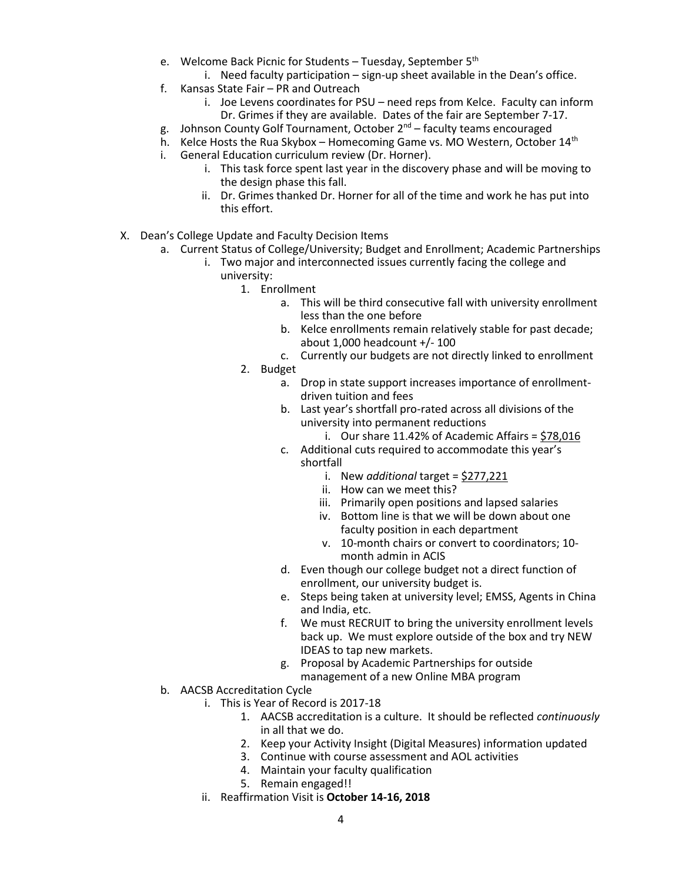- e. Welcome Back Picnic for Students Tuesday, September 5<sup>th</sup>
	- i. Need faculty participation sign-up sheet available in the Dean's office.
- f. Kansas State Fair PR and Outreach
	- i. Joe Levens coordinates for PSU need reps from Kelce. Faculty can inform Dr. Grimes if they are available. Dates of the fair are September 7-17.
- g. Johnson County Golf Tournament, October 2<sup>nd</sup> faculty teams encouraged
- h. Kelce Hosts the Rua Skybox Homecoming Game vs. MO Western, October 14<sup>th</sup>
- i. General Education curriculum review (Dr. Horner).
	- i. This task force spent last year in the discovery phase and will be moving to the design phase this fall.
	- ii. Dr. Grimes thanked Dr. Horner for all of the time and work he has put into this effort.
- X. Dean's College Update and Faculty Decision Items
	- a. Current Status of College/University; Budget and Enrollment; Academic Partnerships
		- i. Two major and interconnected issues currently facing the college and university:
			- 1. Enrollment
				- a. This will be third consecutive fall with university enrollment less than the one before
				- b. Kelce enrollments remain relatively stable for past decade; about 1,000 headcount +/- 100
				- c. Currently our budgets are not directly linked to enrollment
			- 2. Budget
				- a. Drop in state support increases importance of enrollmentdriven tuition and fees
				- b. Last year's shortfall pro-rated across all divisions of the university into permanent reductions
					- i. Our share  $11.42\%$  of Academic Affairs = \$78,016
				- c. Additional cuts required to accommodate this year's shortfall
					- i. New *additional* target = \$277,221
					- ii. How can we meet this?
					- iii. Primarily open positions and lapsed salaries
					- iv. Bottom line is that we will be down about one faculty position in each department
					- v. 10-month chairs or convert to coordinators; 10 month admin in ACIS
				- d. Even though our college budget not a direct function of enrollment, our university budget is.
				- e. Steps being taken at university level; EMSS, Agents in China and India, etc.
				- f. We must RECRUIT to bring the university enrollment levels back up. We must explore outside of the box and try NEW IDEAS to tap new markets.
				- g. Proposal by Academic Partnerships for outside management of a new Online MBA program
	- b. AACSB Accreditation Cycle
		- i. This is Year of Record is 2017-18
			- 1. AACSB accreditation is a culture. It should be reflected *continuously* in all that we do.
			- 2. Keep your Activity Insight (Digital Measures) information updated
			- 3. Continue with course assessment and AOL activities
			- 4. Maintain your faculty qualification
			- 5. Remain engaged!!
		- ii. Reaffirmation Visit is **October 14-16, 2018**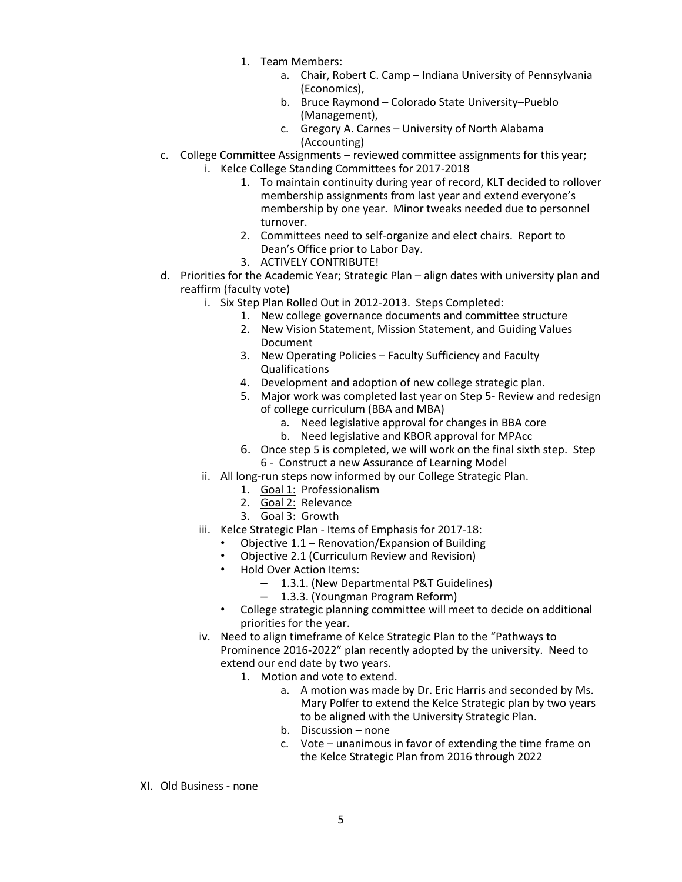- 1. Team Members:
	- a. Chair, Robert C. Camp Indiana University of Pennsylvania (Economics),
	- b. Bruce Raymond Colorado State University–Pueblo (Management),
	- c. Gregory A. Carnes University of North Alabama (Accounting)
- c. College Committee Assignments reviewed committee assignments for this year; i. Kelce College Standing Committees for 2017-2018
	- 1. To maintain continuity during year of record, KLT decided to rollover membership assignments from last year and extend everyone's membership by one year. Minor tweaks needed due to personnel turnover.
	- 2. Committees need to self-organize and elect chairs. Report to Dean's Office prior to Labor Day.
	- 3. ACTIVELY CONTRIBUTE!
- d. Priorities for the Academic Year; Strategic Plan align dates with university plan and reaffirm (faculty vote)
	- i. Six Step Plan Rolled Out in 2012-2013. Steps Completed:
		- 1. New college governance documents and committee structure
		- 2. New Vision Statement, Mission Statement, and Guiding Values Document
		- 3. New Operating Policies Faculty Sufficiency and Faculty Qualifications
		- 4. Development and adoption of new college strategic plan.
		- 5. Major work was completed last year on Step 5- Review and redesign of college curriculum (BBA and MBA)
			- a. Need legislative approval for changes in BBA core
			- b. Need legislative and KBOR approval for MPAcc
		- 6. Once step 5 is completed, we will work on the final sixth step. Step 6 - Construct a new Assurance of Learning Model
	- ii. All long-run steps now informed by our College Strategic Plan.
		- 1. **Goal 1: Professionalism**
		- 2. Goal 2: Relevance
		- 3. Goal 3: Growth
	- iii. Kelce Strategic Plan Items of Emphasis for 2017-18:
		- Objective 1.1 Renovation/Expansion of Building
		- Objective 2.1 (Curriculum Review and Revision)
		- Hold Over Action Items:
			- 1.3.1. (New Departmental P&T Guidelines)
			- 1.3.3. (Youngman Program Reform)
		- College strategic planning committee will meet to decide on additional priorities for the year.
	- iv. Need to align timeframe of Kelce Strategic Plan to the "Pathways to Prominence 2016-2022" plan recently adopted by the university. Need to extend our end date by two years.
		- 1. Motion and vote to extend.
			- a. A motion was made by Dr. Eric Harris and seconded by Ms. Mary Polfer to extend the Kelce Strategic plan by two years to be aligned with the University Strategic Plan.
			- b. Discussion none
			- c. Vote unanimous in favor of extending the time frame on the Kelce Strategic Plan from 2016 through 2022
- XI. Old Business none